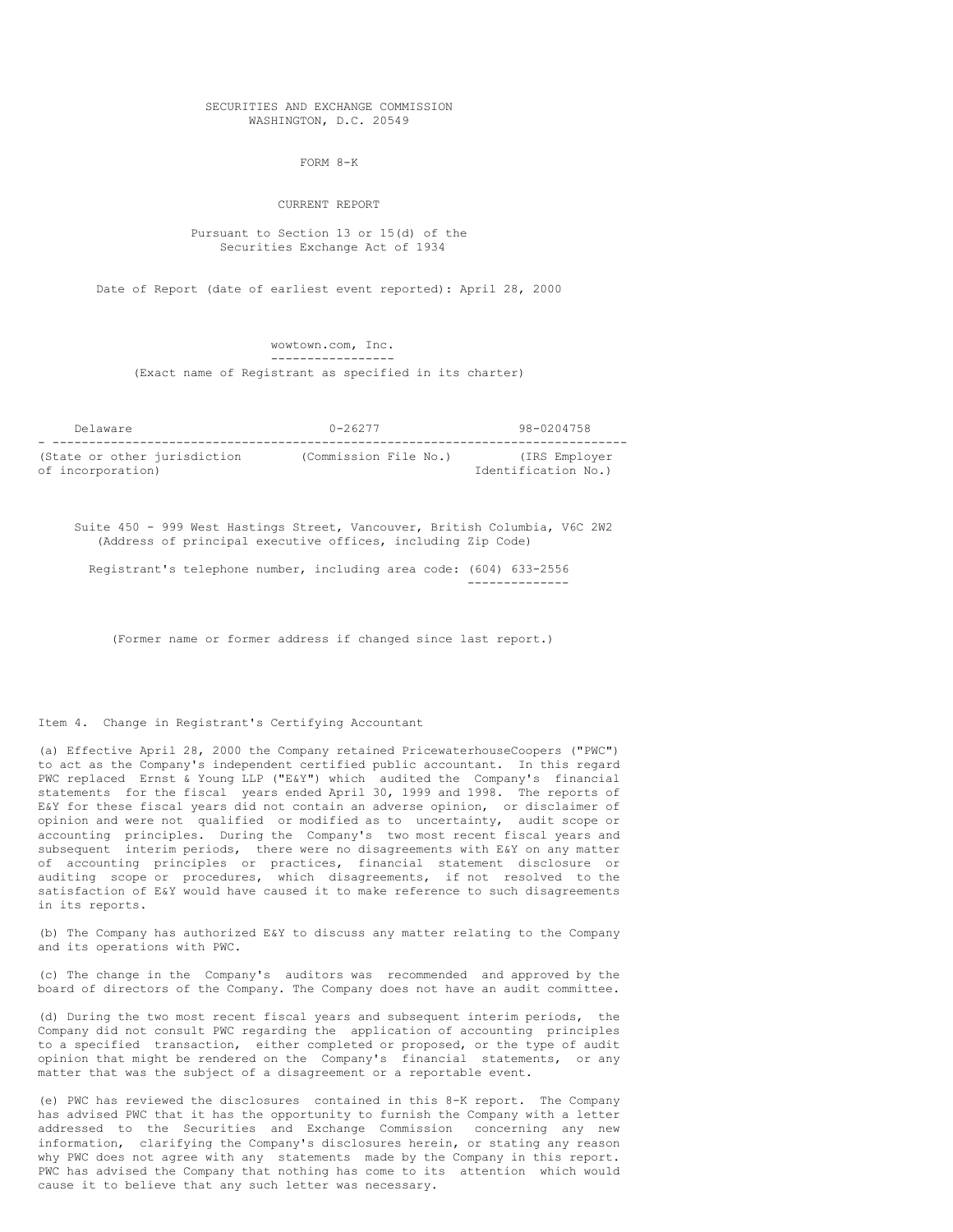#### SECURITIES AND EXCHANGE COMMISSION WASHINGTON, D.C. 20549

FORM 8-K

#### CURRENT REPORT

## Pursuant to Section 13 or 15(d) of the Securities Exchange Act of 1934

Date of Report (date of earliest event reported): April 28, 2000

wowtown.com, Inc. -----------------

(Exact name of Registrant as specified in its charter)

| Delaware                     | $0 - 26277$           | 98-0204758          |
|------------------------------|-----------------------|---------------------|
|                              |                       |                     |
| (State or other jurisdiction | (Commission File No.) | (IRS Employer       |
| of incorporation)            |                       | Identification No.) |

Suite 450 - 999 West Hastings Street, Vancouver, British Columbia, V6C 2W2 (Address of principal executive offices, including Zip Code)

Registrant's telephone number, including area code: (604) 633-2556 --------------

(Former name or former address if changed since last report.)

## Item 4. Change in Registrant's Certifying Accountant

(a) Effective April 28, 2000 the Company retained PricewaterhouseCoopers ("PWC") to act as the Company's independent certified public accountant. In this regard PWC replaced Ernst & Young LLP ("E&Y") which audited the Company's financial statements for the fiscal years ended April 30, 1999 and 1998. The reports of E&Y for these fiscal years did not contain an adverse opinion, or disclaimer of opinion and were not qualified or modified as to uncertainty, audit scope or accounting principles. During the Company's two most recent fiscal years and subsequent interim periods, there were no disagreements with E&Y on any matter of accounting principles or practices, financial statement disclosure or auditing scope or procedures, which disagreements, if not resolved to the satisfaction of E&Y would have caused it to make reference to such disagreements in its reports.

(b) The Company has authorized E&Y to discuss any matter relating to the Company and its operations with PWC.

(c) The change in the Company's auditors was recommended and approved by the board of directors of the Company. The Company does not have an audit committee.

(d) During the two most recent fiscal years and subsequent interim periods, the Company did not consult PWC regarding the application of accounting principles to a specified transaction, either completed or proposed, or the type of audit opinion that might be rendered on the Company's financial statements, or any matter that was the subject of a disagreement or a reportable event.

(e) PWC has reviewed the disclosures contained in this 8-K report. The Company has advised PWC that it has the opportunity to furnish the Company with a letter addressed to the Securities and Exchange Commission concerning any new information, clarifying the Company's disclosures herein, or stating any reason why PWC does not agree with any statements made by the Company in this report. PWC has advised the Company that nothing has come to its attention which would cause it to believe that any such letter was necessary.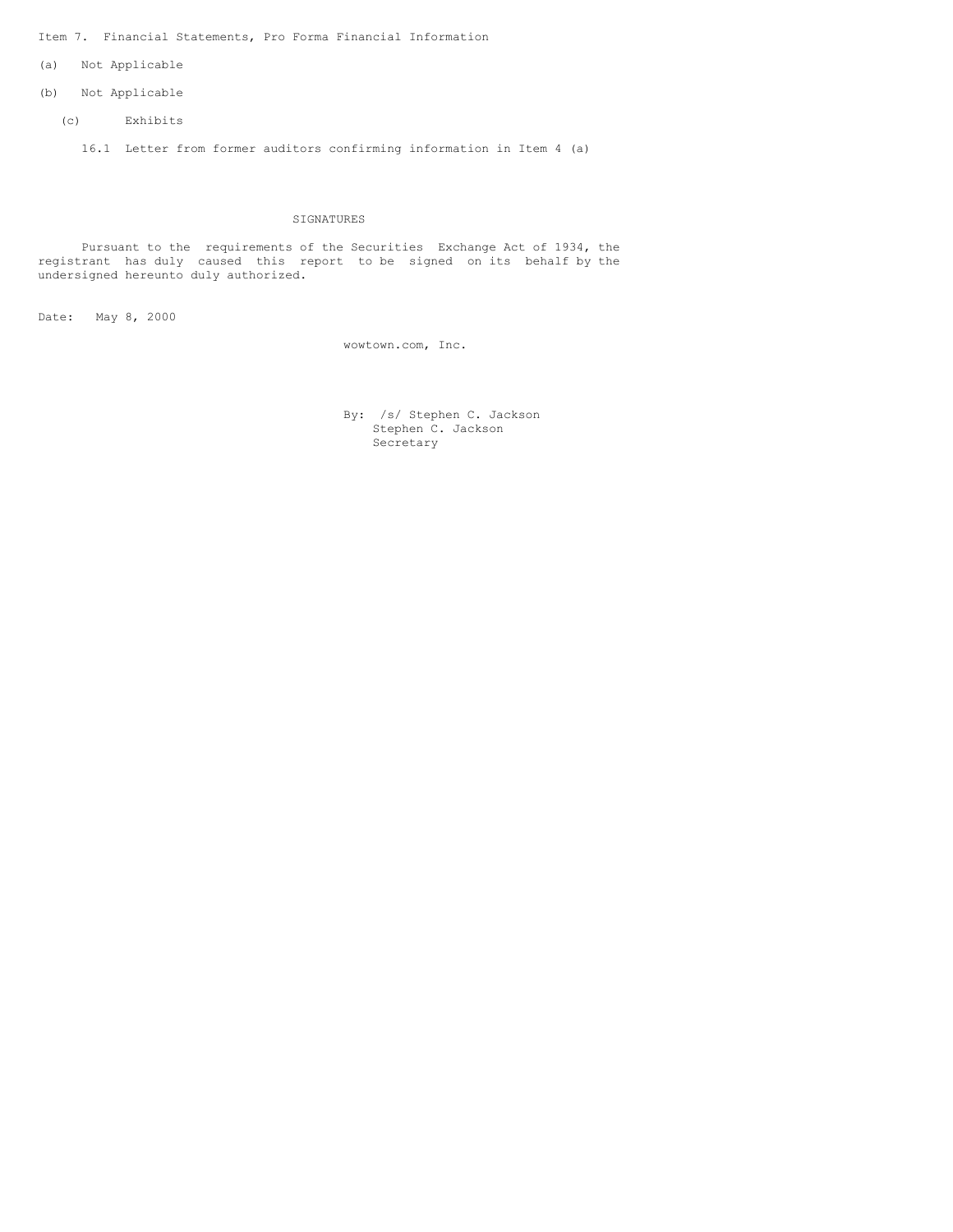Item 7. Financial Statements, Pro Forma Financial Information

- (a) Not Applicable
- (b) Not Applicable
	- (c) Exhibits
		- 16.1 Letter from former auditors confirming information in Item 4 (a)

# SIGNATURES

Pursuant to the requirements of the Securities Exchange Act of 1934, the registrant has duly caused this report to be signed on its behalf by the undersigned hereunto duly authorized.

Date: May 8, 2000

wowtown.com, Inc.

By: /s/ Stephen C. Jackson Stephen C. Jackson Secretary